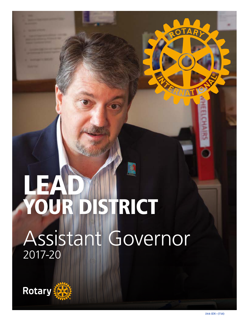# YOUR **ISTRICT** Assistant Governor 2017-20



 $\bigcap$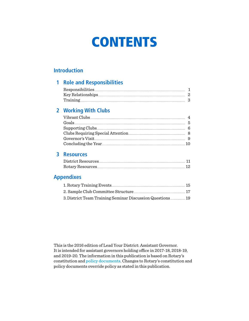## **CONTENTS**

#### **Introduction**

#### **1 Role and Responsibilities**

| Responsibilities  |  |
|-------------------|--|
| Key Relationships |  |
| Training          |  |

### 2 Working With Clubs

| Vibrant Clubs                     |  |
|-----------------------------------|--|
| Goals                             |  |
| Supporting Clubs                  |  |
| Clubs Requiring Special Attention |  |
| Governor's Visit                  |  |
| Concluding the Year               |  |

#### **3 Resources**

| District Resources |  |
|--------------------|--|
| Rotary Resources   |  |

#### **Appendixes**

| 1. Rotary Training Events                                 | 15.  |
|-----------------------------------------------------------|------|
| 2. Sample Club Committee Structure                        | - 17 |
| 3. District Team Training Seminar Discussion Questions 19 |      |

This is the 2016 edition of Lead Your District: Assistant Governor. It is intended for assistant governors holding office in 2017-18, 2018-19, and 2019-20. The information in this publication is based on Rotary's constitution and policy documents. Changes to Rotary's constitution and policy documents override policy as stated in this publication.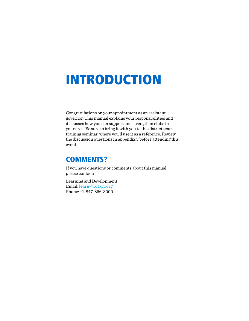## INTRODUCTION

Congratulations on your appointment as an assistant governor. This manual explains your responsibilities and discusses how you can support and strengthen clubs in your area. Be sure to bring it with you to the district team training seminar, where you'll use it as a reference. Review the discussion questions in appendix 3 before attending this event.

### COMMENTS?

If you have questions or comments about this manual, please contact:

Learning and Development Email: [learn@rotary.org](mailto:learn%40rotary.org?subject=) Phone: +1-847-866-3000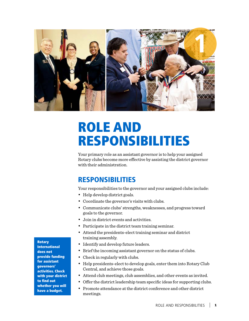

## ROLE AND RESPONSIBILITIES

Your primary role as an assistant governor is to help your assigned Rotary clubs become more effective by assisting the district governor with their administration.

## RESPONSIBILITIES

Your responsibilities to the governor and your assigned clubs include:

- Help develop district goals.
- Coordinate the governor's visits with clubs.
- Communicate clubs' strengths, weaknesses, and progress toward goals to the governor.
- Join in district events and activities.
- Participate in the district team training seminar.
- Attend the presidents-elect training seminar and district training assembly.
- Identify and develop future leaders.
- Brief the incoming assistant governor on the status of clubs.
- Check in regularly with clubs.
- Help presidents-elect to develop goals, enter them into Rotary Club Central, and achieve those goals.
- Attend club meetings, club assemblies, and other events as invited.
- Offer the district leadership team specific ideas for supporting clubs.
- Promote attendance at the district conference and other district meetings.

Rotary

International does not provide funding for assistant governors' activities. Check with your district to find out whether you will have a budget.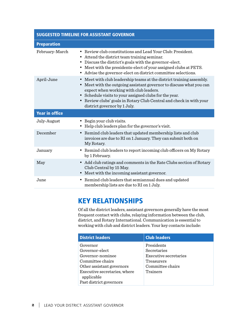#### SUGGESTED TIMELINE FOR ASSISTANT GOVERNOR

| <b>Preparation</b>    |                                                                                                                                                                                                                                                                                                                                                                                    |
|-----------------------|------------------------------------------------------------------------------------------------------------------------------------------------------------------------------------------------------------------------------------------------------------------------------------------------------------------------------------------------------------------------------------|
| February-March        | Review club constitutions and Lead Your Club: President.<br>٠<br>• Attend the district team training seminar.<br>Discuss the district's goals with the governor-elect.<br>Meet with the presidents-elect of your assigned clubs at PETS.<br>٠<br>Advise the governor-elect on district committee selections.<br>$\bullet$                                                          |
| April-June            | Meet with club leadership teams at the district training assembly.<br>$\bullet$<br>Meet with the outgoing assistant governor to discuss what you can<br>٠<br>expect when working with club leaders.<br>Schedule visits to your assigned clubs for the year.<br>$\bullet$<br>Review clubs' goals in Rotary Club Central and check in with your<br>٠<br>district governor by 1 July. |
| <b>Year in office</b> |                                                                                                                                                                                                                                                                                                                                                                                    |
| July-August           | Begin your club visits.<br>Help club leaders plan for the governor's visit.<br>٠                                                                                                                                                                                                                                                                                                   |
| December              | Remind club leaders that updated membership lists and club<br>$\bullet$<br>invoices are due to RI on 1 January. They can submit both on<br>My Rotary.                                                                                                                                                                                                                              |
| January               | • Remind club leaders to report incoming club officers on My Rotary<br>by 1 February.                                                                                                                                                                                                                                                                                              |
| May                   | • Add club ratings and comments in the Rate Clubs section of Rotary<br>Club Central by 15 May.<br>Meet with the incoming assistant governor.                                                                                                                                                                                                                                       |
| June                  | Remind club leaders that semian nual dues and updated<br>$\bullet$<br>membership lists are due to RI on 1 July.                                                                                                                                                                                                                                                                    |

## KEY RELATIONSHIPS

Of all the district leaders, assistant governors generally have the most frequent contact with clubs, relaying information between the club, district, and Rotary International. Communication is essential to working with club and district leaders. Your key contacts include:

| <b>District leaders</b>                                                                                                                                                  | <b>Club leaders</b>                                                                                     |
|--------------------------------------------------------------------------------------------------------------------------------------------------------------------------|---------------------------------------------------------------------------------------------------------|
| Governor<br>Governor-elect<br>Governor-nominee<br>Committee chairs<br>Other assistant governors<br>Executive secretaries, where<br>applicable<br>Past district governors | Presidents<br>Secretaries<br><b>Executive secretaries</b><br>Treasurers<br>Committee chairs<br>Trainers |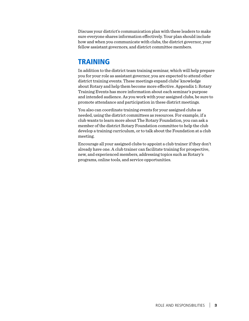Discuss your district's communication plan with these leaders to make sure everyone shares information effectively. Your plan should include how and when you communicate with clubs, the district governor, your fellow assistant governors, and district committee members.

## TRAINING

In addition to the district team training seminar, which will help prepare you for your role as assistant governor, you are expected to attend other district training events. These meetings expand clubs' knowledge about Rotary and help them become more effective. Appendix 1: Rotary Training Events has more information about each seminar's purpose and intended audience. As you work with your assigned clubs, be sure to promote attendance and participation in these district meetings.

You also can coordinate training events for your assigned clubs as needed, using the district committees as resources. For example, if a club wants to learn more about The Rotary Foundation, you can ask a member of the district Rotary Foundation committee to help the club develop a training curriculum, or to talk about the Foundation at a club meeting.

Encourage all your assigned clubs to appoint a club trainer if they don't already have one. A club trainer can facilitate training for prospective, new, and experienced members, addressing topics such as Rotary's programs, online tools, and service opportunities.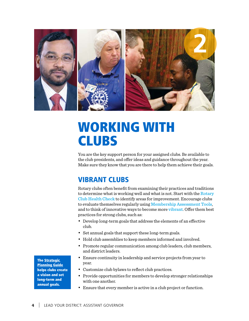

## WORKING WITH **CLUBS**

You are the key support person for your assigned clubs. Be available to the club presidents, and offer ideas and guidance throughout the year. Make sure they know that you are there to help them achieve their goals.

## VIBRANT CLUBS

Rotary clubs often benefit from examining their practices and traditions to determine what is working well and what is not. Start with the Rotary [Club Health Check](https://www.rotary.org/myrotary/en/document/rotary-club-health-check) to identify areas for improvement. Encourage clubs to evaluate themselves regularly using [Membership Assessment Tools](https://www.rotary.org/myrotary/en/document/membership-assessment-tools), and to think of innovative ways to become more [vibrant](https://www.rotary.org/myrotary/en/learning-reference/learn-topic/membership). Offer them best practices for strong clubs, such as:

- Develop long-term goals that address the elements of an effective club.
- Set annual goals that support these long-term goals.
- Hold club assemblies to keep members informed and involved.
- Promote regular communication among club leaders, club members, and district leaders.
- Ensure continuity in leadership and service projects from year to year.
- Customize club bylaws to reflect club practices.
- Provide opportunities for members to develop stronger relationships with one another.
- Ensure that every member is active in a club project or function.

The [Strategic](http://www.rotary.org/RIdocuments/en_doc/strategic_planning_guide_en.doc)  [Planning Guide](http://www.rotary.org/RIdocuments/en_doc/strategic_planning_guide_en.doc) helps clubs create a vision and set long-term and annual goals.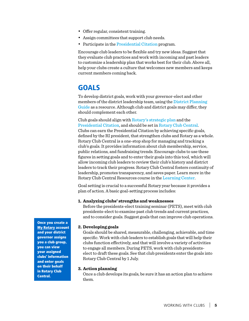- Offer regular, consistent training.
- Assign committees that support club needs.
- Participate in the [Presidential Citation](https://www.rotary.org/myrotary/en/news-media/office-president/presidential-citation) program.

Encourage club leaders to be flexible and try new ideas. Suggest that they evaluate club practices and work with incoming and past leaders to customize a leadership plan that works best for their club. Above all, help your clubs create a culture that welcomes new members and keeps current members coming back.

## GOALS

To develop district goals, work with your governor-elect and other members of the district leadership team, using the District Planning [Guide](https://www.rotary.org/myrotary/en/document/district-planning-guide) as a resource. Although club and district goals may differ, they should complement each other.

Club goals should align with [Rotary's strategic plan](https://www.rotary.org/myrotary/en/learning-reference/about-rotary/strategic-plan) and the [Presidential Citation](https://www.rotary.org/myrotary/en/news-media/office-president/presidential-citation), and should be set in [Rotary Club Central](http://www.rotary.org/clubcentral). Clubs can earn the Presidential Citation by achieving specific goals, defined by the RI president, that strengthen clubs and Rotary as a whole. Rotary Club Central is a one-stop shop for managing and tracking a club's goals. It provides information about club membership, service, public relations, and fundraising trends. Encourage clubs to use these figures in setting goals and to enter their goals into this tool, which will allow incoming club leaders to review their club's history and district leaders to track their progress. Rotary Club Central fosters continuity of leadership, promotes transparency, and saves paper. Learn more in the Rotary Club Central Resources course in the [Learning Center](https://www.rotary.org/myrotary/en/document/learning-center-course-catalog).

Goal setting is crucial to a successful Rotary year because it provides a plan of action. A basic goal-setting process includes:

#### **1. Analyzing clubs' strengths and weaknesses**

Before the presidents-elect training seminar (PETS), meet with club presidents-elect to examine past club trends and current practices, and to consider goals. Suggest goals that can improve club operations.

#### **2. Developing goals**

Goals should be shared, measurable, challenging, achievable, and time specific. Work with club leaders to establish goals that will help their clubs function effectively, and that will involve a variety of activities to engage all members. During PETS, work with club presidentselect to draft these goals. See that club presidents enter the goals into Rotary Club Central by 1 July.

#### **3. Action planning**

Once a club develops its goals, be sure it has an action plan to achieve them.

Once you create a **[My Rotary](https://www.rotary.org/myrotary/en) account** and your district governor assigns you a club group, you can view your assigned clubs' information and enter goals on their behalf in Rotary Club Central.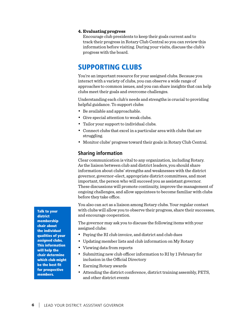#### **4. Evaluating progress**

Encourage club presidents to keep their goals current and to track their progress in Rotary Club Central so you can review this information before visiting. During your visits, discuss the club's progress with the board.

### SUPPORTING CLUBS

You're an important resource for your assigned clubs. Because you interact with a variety of clubs, you can observe a wide range of approaches to common issues, and you can share insights that can help clubs meet their goals and overcome challenges.

Understanding each club's needs and strengths is crucial to providing helpful guidance. To support clubs:

- Be available and approachable.
- Give special attention to weak clubs.
- Tailor your support to individual clubs.
- Connect clubs that excel in a particular area with clubs that are struggling.
- Monitor clubs' progress toward their goals in Rotary Club Central.

#### **Sharing information**

Clear communication is vital to any organization, including Rotary. As the liaison between club and district leaders, you should share information about clubs' strengths and weaknesses with the district governor, governor-elect, appropriate district committees, and most important, the person who will succeed you as assistant governor. These discussions will promote continuity, improve the management of ongoing challenges, and allow appointees to become familiar with clubs before they take office.

You also can act as a liaison among Rotary clubs. Your regular contact with clubs will allow you to observe their progress, share their successes, and encourage cooperation.

The governor may ask you to discuss the following items with your assigned clubs:

- Paying the RI club invoice, and district and club dues
- Updating member lists and club information on My Rotary
- Viewing data from reports
- Submitting new club officer information to RI by 1 February for inclusion in the Official Directory
- Earning Rotary awards
- Attending the district conference, district training assembly, PETS, and other district events

Talk to your district membership chair about the individual qualities of your assigned clubs. This information will help the chair determine which club might be the best fit for prospective members.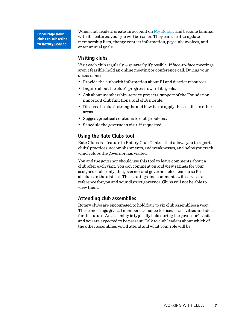Encourage your clubs to subscribe to [Rotary Leader](http://www.rotaryleader-en.org/).

When club leaders create an account on [My Rotary](https://www.rotary.org/myrotary/en) and become familiar with its features, your job will be easier. They can use it to update membership lists, change contact information, pay club invoices, and enter annual goals.

#### **Visiting clubs**

Visit each club regularly — quarterly if possible. If face-to-face meetings aren't feasible, hold an online meeting or conference call. During your discussions:

- Provide the club with information about RI and district resources.
- Inquire about the club's progress toward its goals.
- Ask about membership, service projects, support of the Foundation, important club functions, and club morale.
- Discuss the club's strengths and how it can apply those skills to other areas.
- Suggest practical solutions to club problems.
- Schedule the governor's visit, if requested.

#### **Using the Rate Clubs tool**

Rate Clubs is a feature in Rotary Club Central that allows you to report clubs' practices, accomplishments, and weaknesses, and helps you track which clubs the governor has visited.

You and the governor should use this tool to leave comments about a club after each visit. You can comment on and view ratings for your assigned clubs only; the governor and governor-elect can do so for all clubs in the district. These ratings and comments will serve as a reference for you and your district governor. Clubs will not be able to view them.

#### **Attending club assemblies**

Rotary clubs are encouraged to hold four to six club assemblies a year. These meetings give all members a chance to discuss activities and ideas for the future. An assembly is typically held during the governor's visit, and you are expected to be present. Talk to club leaders about which of the other assemblies you'll attend and what your role will be.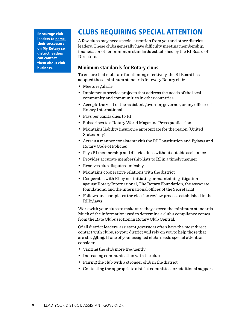Encourage club leaders to name [their successors](https://www.rotary.org/myrotary/en/document/how-add-club-officer) on My Rotary so district leaders can contact them about club business.

## CLUBS REQUIRING SPECIAL ATTENTION

A few clubs may need special attention from you and other district leaders. These clubs generally have difficulty meeting membership, financial, or other minimum standards established by the RI Board of Directors.

#### **Minimum standards for Rotary clubs**

To ensure that clubs are functioning effectively, the RI Board has adopted these minimum standards for every Rotary club:

- Meets regularly
- Implements service projects that address the needs of the local community and communities in other countries
- Accepts the visit of the assistant governor, governor, or any officer of Rotary International
- Pays per capita dues to RI
- Subscribes to a Rotary World Magazine Press publication
- Maintains liability insurance appropriate for the region (United States only)
- Acts in a manner consistent with the RI Constitution and Bylaws and Rotary Code of Policies
- Pays RI membership and district dues without outside assistance
- Provides accurate membership lists to RI in a timely manner
- Resolves club disputes amicably
- Maintains cooperative relations with the district
- Cooperates with RI by not initiating or maintaining litigation against Rotary International, The Rotary Foundation, the associate foundations, and the international offices of the Secretariat
- Follows and completes the election review process established in the RI Bylaws

Work with your clubs to make sure they exceed the minimum standards. Much of the information used to determine a club's compliance comes from the Rate Clubs section in Rotary Club Central.

Of all district leaders, assistant governors often have the most direct contact with clubs, so your district will rely on you to help those that are struggling. If one of your assigned clubs needs special attention, consider:

- Visiting the club more frequently
- Increasing communication with the club
- Pairing the club with a stronger club in the district
- Contacting the appropriate district committee for additional support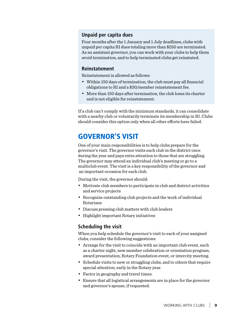#### **Unpaid per capita dues**

Four months after the 1 January and 1 July deadlines, clubs with unpaid per capita RI dues totaling more than \$250 are terminated. As an assistant governor, you can work with your clubs to help them avoid termination, and to help terminated clubs get reinstated.

#### **Reinstatement**

Reinstatement is allowed as follows:

- Within 150 days of termination, the club must pay all financial obligations to RI and a \$30/member reinstatement fee.
- More than 150 days after termination, the club loses its charter and is not eligible for reinstatement.

If a club can't comply with the minimum standards, it can consolidate with a nearby club or voluntarily terminate its membership in RI. Clubs should consider this option only when all other efforts have failed.

## GOVERNOR'S VISIT

One of your main responsibilities is to help clubs prepare for the governor's visit. The governor visits each club in the district once during the year and pays extra attention to those that are struggling. The governor may attend an individual club's meeting or go to a multiclub event. The visit is a key responsibility of the governor and an important occasion for each club.

During the visit, the governor should:

- Motivate club members to participate in club and district activities and service projects
- Recognize outstanding club projects and the work of individual Rotarians
- Discuss pressing club matters with club leaders
- Highlight important Rotary initiatives

#### **Scheduling the visit**

When you help schedule the governor's visit to each of your assigned clubs, consider the following suggestions:

- Arrange for the visit to coincide with an important club event, such as a charter night, new member celebration or orientation program, award presentation, Rotary Foundation event, or intercity meeting.
- Schedule visits to new or struggling clubs, and to others that require special attention, early in the Rotary year.
- Factor in geography and travel times.
- Ensure that all logistical arrangements are in place for the governor and governor's spouse, if requested.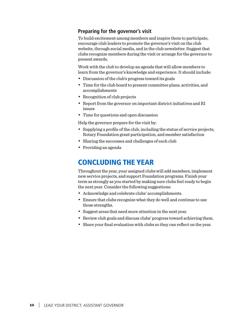#### **Preparing for the governor's visit**

To build excitement among members and inspire them to participate, encourage club leaders to promote the governor's visit on the club website, through social media, and in the club newsletter. Suggest that clubs recognize members during the visit or arrange for the governor to present awards.

Work with the club to develop an agenda that will allow members to learn from the governor's knowledge and experience. It should include:

- Discussion of the club's progress toward its goals
- Time for the club board to present committee plans, activities, and accomplishments
- Recognition of club projects
- Report from the governor on important district initiatives and RI issues
- Time for questions and open discussion

Help the governor prepare for the visit by:

- Supplying a profile of the club, including the status of service projects, Rotary Foundation grant participation, and member satisfaction
- Sharing the successes and challenges of each club
- Providing an agenda

## CONCLUDING THE YEAR

Throughout the year, your assigned clubs will add members, implement new service projects, and support Foundation programs. Finish your term as strongly as you started by making sure clubs feel ready to begin the next year. Consider the following suggestions:

- Acknowledge and celebrate clubs' accomplishments.
- Ensure that clubs recognize what they do well and continue to use those strengths.
- Suggest areas that need more attention in the next year.
- Review club goals and discuss clubs' progress toward achieving them.
- Share your final evaluation with clubs so they can reflect on the year.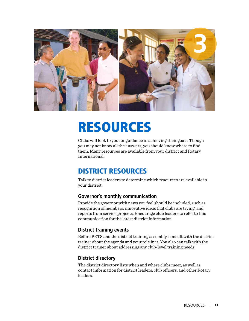

## RESOURCES

Clubs will look to you for guidance in achieving their goals. Though you may not know all the answers, you should know where to find them. Many resources are available from your district and Rotary International.

## DISTRICT RESOURCES

Talk to district leaders to determine which resources are available in your district.

#### **Governor's monthly communication**

Provide the governor with news you feel should be included, such as recognition of members, innovative ideas that clubs are trying, and reports from service projects. Encourage club leaders to refer to this communication for the latest district information.

#### **District training events**

Before PETS and the district training assembly, consult with the district trainer about the agenda and your role in it. You also can talk with the district trainer about addressing any club-level training needs.

#### **District directory**

The district directory lists when and where clubs meet, as well as contact information for district leaders, club officers, and other Rotary **leaders**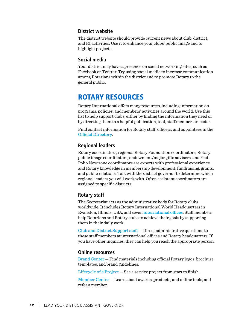#### **District website**

The district website should provide current news about club, district, and RI activities. Use it to enhance your clubs' public image and to highlight projects.

#### **Social media**

Your district may have a presence on social networking sites, such as Facebook or Twitter. Try using social media to increase communication among Rotarians within the district and to promote Rotary to the general public.

### ROTARY RESOURCES

Rotary International offers many resources, including information on programs, policies, and members' activities around the world. Use this list to help support clubs, either by finding the information they need or by directing them to a helpful publication, tool, staff member, or leader.

Find contact information for Rotary staff, officers, and appointees in the [Official Directory](https://www.rotary.org/myrotary/en/secure/application/361).

#### **Regional leaders**

Rotary coordinators, regional Rotary Foundation coordinators, Rotary public image coordinators, endowment/major gifts advisers, and End Polio Now zone coordinators are experts with professional experience and Rotary knowledge in membership development, fundraising, grants, and public relations. Talk with the district governor to determine which regional leaders you will work with. Often assistant coordinators are assigned to specific districts.

#### **Rotary staff**

The Secretariat acts as the administrative body for Rotary clubs worldwide. It includes Rotary International World Headquarters in Evanston, Illinois, USA, and seven [international offices](https://www.rotary.org/en/international-offices). Staff members help Rotarians and Rotary clubs to achieve their goals by supporting them in their daily work.

[Club and District Support staff](https://www.rotary.org/myrotary/en/contact/representatives) — Direct administrative questions to these staff members at international offices and Rotary headquarters. If you have other inquiries, they can help you reach the appropriate person.

#### **Online resources**

[Brand Center](https://brandcenter.rotary.org/en-GB) — Find materials including official Rotary logos, brochure templates, and brand guidelines.

[Lifecycle of a Project](https://www.rotary.org/myrotary/en/take-action/develop-projects/lifecycle-project) — See a service project from start to finish.

[Member Center](https://www.rotary.org/myrotary/en/member-center) — Learn about awards, products, and online tools, and refer a member.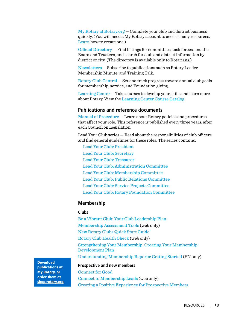[My Rotary at Rotary.org](http://www.rotary.org/myrotary) — Complete your club and district business quickly. (You will need a My Rotary account to access many resources. [Learn](https://www.rotary.org/myrotary/en/document/how-create-my-rotary-account) how to create one.)

[Official Directory](https://www.rotary.org/myrotary/en/secure/13011) — Find listings for committees, task forces, and the Board and Trustees, and search for club and district information by district or city. (The directory is available only to Rotarians.)

[Newsletters](http://www.rotary.org/newsletters) — Subscribe to publications such as Rotary Leader, Membership Minute, and Training Talk.

[Rotary Club Central](https://www.rotary.org/myrotary/en/user/login?destination=secure/application/341) — Set and track progress toward annual club goals for membership, service, and Foundation giving.

[Learning Center](https://www.rotary.org/myrotary/en/secure/13161) — Take courses to develop your skills and learn more about Rotary. View the [Learning Center Course Catalog](https://www.rotary.org/myrotary/en/document/learning-center-course-catalog).

#### **Publications and reference documents**

[Manual of Procedure](http://www.rotary.org/RIdocuments/en_pdf/035en_full.pdf) — Learn about Rotary policies and procedures that affect your role. This reference is published every three years, after each Council on Legislation.

Lead Your Club series — Read about the responsibilities of club officers and find general guidelines for these roles. The series contains:

[Lead Your Club: President](https://www.rotary.org/myrotary/en/document/lead-your-club-president) [Lead Your Club: Secretary](https://www.rotary.org/myrotary/en/document/lead-your-club-secretary) [Lead Your Club: Treasurer](https://www.rotary.org/myrotary/en/document/lead-your-club-treasurer) [Lead Your Club: Administration Committee](https://www.rotary.org/myrotary/en/document/lead-your-club-administration-committee) [Lead Your Club: Membership Committee](https://www.rotary.org/myrotary/en/document/lead-your-club-membership-committee) [Lead Your Club: Public Relations Committee](https://www.rotary.org/myrotary/en/document/lead-your-club-public-relations-committee) [Lead Your Club: Service Projects Committee](https://www.rotary.org/myrotary/en/document/lead-your-club-service-projects-committee)  [Lead Your Club: Rotary Foundation Committee](https://www.rotary.org/myrotary/en/document/lead-your-club-rotary-foundation-committee)

#### **Membership**

#### **Clubs**

[Be a Vibrant Club: Your Club Leadership Plan](https://www.rotary.org/myrotary/en/learning-reference/learn-topic/membership#bevibrantclub) [Membership Assessment Tools](https://www.rotary.org/myrotary/en/document/club-assessment-tools) (web only) [New Rotary Clubs Quick Start Guide](http://www.rotary.org/RIdocuments/en_pdf/808en.pdf) [Rotary Club Health Check](https://www.rotary.org/myrotary/en/document/rotary-club-health-check) (web only) [Strengthening Your Membership: Creating Your Membership](https://www.rotary.org/myrotary/en/document/strengthening-your-membership-creating-your-membership-development-plan)  [Development Plan](https://www.rotary.org/myrotary/en/document/strengthening-your-membership-creating-your-membership-development-plan) [Understanding Membership Reports: Getting Started](https://www.rotary.org/myrotary/en/document/understanding-membership-reports-getting-started) (EN only)

**Prospective and new members**

[Connect for Good](https://www.rotary.org/myrotary/en/document/connect-good) [Connect to Membership Leads](https://www.rotary.org/myrotary/en/document/connect-membership-leads) (web only) [Creating a Positive Experience for Prospective Members](https://www.rotary.org/myrotary/en/document/creating-positive-experience-prospective-members)

Download publications at [My Rotary,](https://www.rotary.org/myrotary/en) or order them at [shop.rotary.org](http://shop.rotary.org).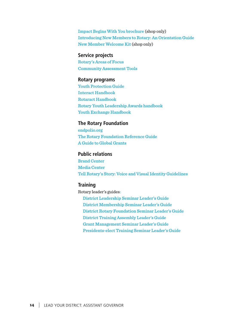[Impact Begins With You brochure](https://shop.rotary.org/membership-development) (shop only) [Introducing New Members to Rotary: An Orientation Guide](https://www.rotary.org/myrotary/en/document/572) [New Member Welcome Kit](https://shop.rotary.org/new-member-welcome-kit-426) (shop only)

#### **Service projects**

[Rotary's Areas of Focus](https://www.rotary.org/myrotary/en/document/rotarys-areas-focus) [Community Assessment Tools](https://www.rotary.org/myrotary/en/document/community-assessment-tools)

#### **Rotary programs**

[Youth Protection Guide](https://www.rotary.org/myrotary/en/document/abuse-and-harassment-prevention-training-manual-and-leaders-guide) [Interact Handbook](https://www.rotary.org/myrotary/en/document/interact-handbook) [Rotaract Handbook](https://www.rotary.org/myrotary/en/document/rotaract-handbook)  [Rotary Youth Leadership Awards handbook](https://www.rotary.org/myrotary/en/document/ryla-handbook) [Youth Exchange Handbook](http://www.rotary.org/RIdocuments/en_pdf/746en.pdf) 

#### **The Rotary Foundation**

[endpolio.org](http://endpolionow.org/) [The Rotary Foundation Reference Guide](https://www.rotary.org/myrotary/en/document/rotary-foundation-reference-guide) [A Guide to Global Grants](https://www.rotary.org/myrotary/en/document/guide-global-grants)

#### **Public relations**

[Brand Center](https://brandcenter.rotary.org/en-GB) [Media Center](https://www.rotary.org/en/news-features/media-center)  [Tell Rotary's Story: Voice and Visual Identity Guidelines](https://brandcenter.rotary.org/en-GB/App/AssetDetails/b/www/Asset/Details/118?brand=www&returnUrl=http%3a%2f%2fbrandcenter.rotary.org%2fen-GB%2fApp%2fAssetSearch%3fpageSize&showadvancedsearch=True&showadvancedsearch=True&showkeywordfilters=True&showkeywordfilters=True&view=Standard&view=Standard&page=1&page=1&k=17&k=17&pageSize=20) 

#### **Training**

Rotary leader's guides: [District Leadership Seminar Leader's Guide](http://www.rotary.org/en/document/565) [District Membership Seminar Leader's Guide](http://www.rotary.org/en/document/549) [District Rotary Foundation Seminar Leader's Guide](http://www.rotary.org/en/document/575) [District Training Assembly Leader's Guide](http://www.rotary.org/en/document/586) [Grant Management Seminar Leader's Guide](http://www.rotary.org/en/document/672) [Presidents-elect Training Seminar Leader's Guide](http://www.rotary.org/en/document/551)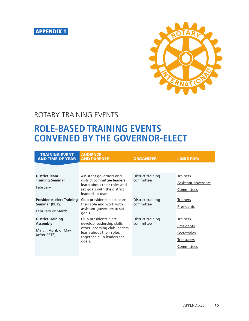



## ROTARY TRAINING EVENTS

## **ROLE-BASED TRAINING EVENTS CONVENED BY THE GOVERNOR-ELECT**

| <b>TRAINING EVENT</b><br><b>AND TIME OF YEAR</b>            | <b>AUDIENCE</b><br><b>AND PURPOSE</b>                                                                                                   | <b>ORGANIZER</b>               | <b>LINKS FOR:</b>          |
|-------------------------------------------------------------|-----------------------------------------------------------------------------------------------------------------------------------------|--------------------------------|----------------------------|
|                                                             |                                                                                                                                         |                                |                            |
| <b>District Team</b><br><b>Training Seminar</b><br>February | Assistant governors and<br>district committee leaders<br>learn about their roles and<br>set goals with the district<br>leadership team. | District training<br>committee | <b>Trainers</b>            |
|                                                             |                                                                                                                                         |                                | <b>Assistant governors</b> |
|                                                             |                                                                                                                                         |                                | Committees                 |
| <b>Presidents-elect Training</b>                            | Club presidents-elect learn<br>their role and work with<br>assistant governors to set<br>goals.                                         | District training<br>committee | <b>Trainers</b>            |
| <b>Seminar (PETS)</b>                                       |                                                                                                                                         |                                | Presidents                 |
| February or March                                           |                                                                                                                                         |                                |                            |
| <b>District Training</b>                                    | Club presidents-elect                                                                                                                   | District training<br>committee | Trainers                   |
| <b>Assembly</b>                                             | develop leadership skills;<br>other incoming club leaders                                                                               |                                | Presidents                 |
| March, April, or May<br>(after PETS)                        | learn about their roles;<br>together, club leaders set<br>goals.                                                                        |                                | Secretaries                |
|                                                             |                                                                                                                                         |                                | <b>Treasurers</b>          |
|                                                             |                                                                                                                                         |                                | Committees                 |
|                                                             |                                                                                                                                         |                                |                            |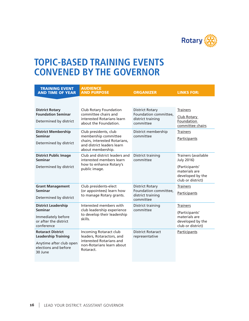

## **TOPIC-BASED TRAINING EVENTS CONVENED BY THE GOVERNOR**

| <b>TRAINING EVENT</b><br><b>AND TIME OF YEAR</b>                                                                     | <b>AUDIENCE</b><br><b>AND PURPOSE</b>                                                                                     | <b>ORGANIZER</b>                                                                  | <b>LINKS FOR:</b>                                                        |
|----------------------------------------------------------------------------------------------------------------------|---------------------------------------------------------------------------------------------------------------------------|-----------------------------------------------------------------------------------|--------------------------------------------------------------------------|
|                                                                                                                      |                                                                                                                           |                                                                                   |                                                                          |
| <b>District Rotary</b><br><b>Foundation Seminar</b>                                                                  | Club Rotary Foundation<br>committee chairs and<br>interested Rotarians learn                                              | <b>District Rotary</b><br>Foundation committee,<br>district training<br>committee | <b>Trainers</b><br>Club Rotary<br>Foundation                             |
| Determined by district                                                                                               | about the Foundation.                                                                                                     |                                                                                   | committee chairs                                                         |
| <b>District Membership</b><br><b>Seminar</b>                                                                         | Club presidents, club<br>membership committee                                                                             | District membership<br>committee                                                  | <b>Trainers</b>                                                          |
| Determined by district                                                                                               | chairs, interested Rotarians,<br>and district leaders learn<br>about membership.                                          |                                                                                   | Participants                                                             |
| <b>District Public Image</b><br><b>Seminar</b>                                                                       | Club and district leaders and<br>interested members learn                                                                 | District training<br>committee                                                    | Trainers (available<br>July 2016)                                        |
| Determined by district                                                                                               | how to enhance Rotary's<br>public image.                                                                                  |                                                                                   | (Participants'<br>materials are<br>developed by the<br>club or district) |
| <b>Grant Management</b><br><b>Seminar</b>                                                                            | Club presidents-elect<br>(or appointees) learn how                                                                        | <b>District Rotary</b><br>Foundation committee,                                   | <b>Trainers</b>                                                          |
| Determined by district                                                                                               | to manage Rotary grants.                                                                                                  | district training<br>committee                                                    | Participants                                                             |
| <b>District Leadership</b><br><b>Seminar</b>                                                                         | Interested members with<br>club leadership experience                                                                     | District training<br>committee                                                    | <b>Trainers</b>                                                          |
| Immediately before<br>or after the district<br>conference                                                            | to develop their leadership<br>skills.                                                                                    |                                                                                   | (Participants'<br>materials are<br>developed by the<br>club or district) |
| <b>Rotaract District</b><br><b>Leadership Training</b><br>Anytime after club open<br>elections and before<br>30 June | Incoming Rotaract club<br>leaders, Rotaractors, and<br>interested Rotarians and<br>non-Rotarians learn about<br>Rotaract. | <b>District Rotaract</b><br>representative                                        | Participants                                                             |
|                                                                                                                      |                                                                                                                           |                                                                                   |                                                                          |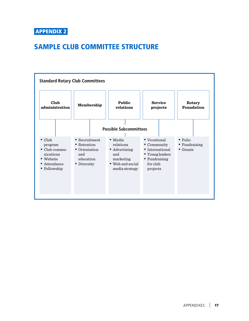## SAMPLE CLUB COMMITTEE STRUCTURE

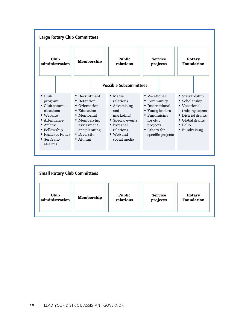

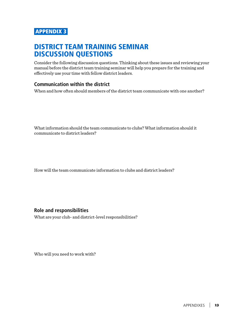## DISTRICT TEAM TRAINING SEMINAR DISCUSSION QUESTIONS

Consider the following discussion questions. Thinking about these issues and reviewing your manual before the district team training seminar will help you prepare for the training and effectively use your time with fellow district leaders.

#### **Communication within the district**

When and how often should members of the district team communicate with one another?

What information should the team communicate to clubs? What information should it communicate to district leaders?

How will the team communicate information to clubs and district leaders?

**Role and responsibilities**

What are your club- and district-level responsibilities?

Who will you need to work with?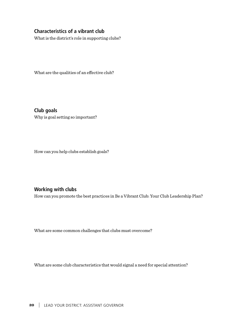#### **Characteristics of a vibrant club**

What is the district's role in supporting clubs?

What are the qualities of an effective club?

**Club goals** Why is goal setting so important?

How can you help clubs establish goals?

#### **Working with clubs**

How can you promote the best practices in Be a Vibrant Club: Your Club Leadership Plan?

What are some common challenges that clubs must overcome?

What are some club characteristics that would signal a need for special attention?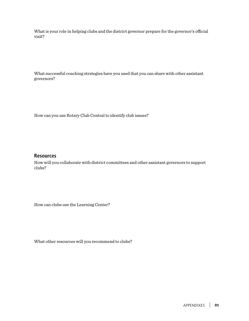What is your role in helping clubs and the district governor prepare for the governor's official visit?

What successful coaching strategies have you used that you can share with other assistant governors?

How can you use Rotary Club Central to identify club issues?

#### **Resources**

How will you collaborate with district committees and other assistant governors to support clubs?

How can clubs use the Learning Center?

What other resources will you recommend to clubs?